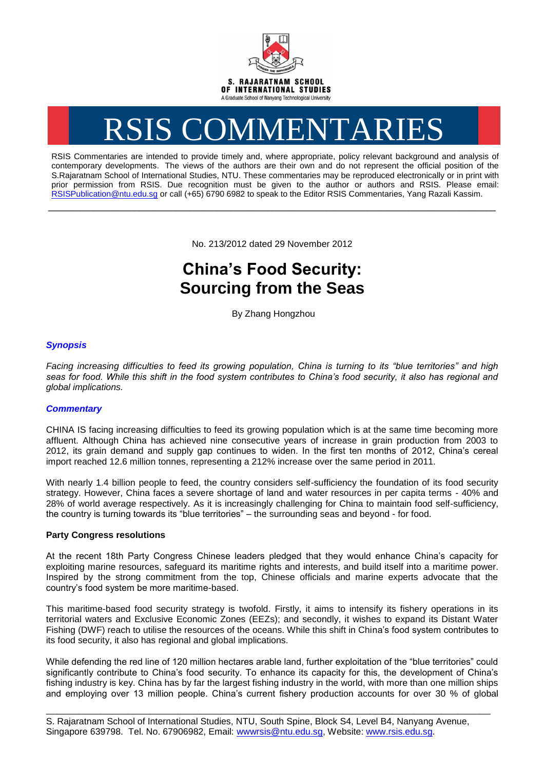

# RSIS COMMENTARIES

RSIS Commentaries are intended to provide timely and, where appropriate, policy relevant background and analysis of contemporary developments. The views of the authors are their own and do not represent the official position of the S.Rajaratnam School of International Studies, NTU. These commentaries may be reproduced electronically or in print with prior permission from RSIS. Due recognition must be given to the author or authors and RSIS. Please email: [RSISPublication@ntu.edu.sg](mailto:RSISPublication@ntu.edu.sg) or call (+65) 6790 6982 to speak to the Editor RSIS Commentaries, Yang Razali Kassim.

No. 213/2012 dated 29 November 2012

**\_\_\_\_\_\_\_\_\_\_\_\_\_\_\_\_\_\_\_\_\_\_\_\_\_\_\_\_\_\_\_\_\_\_\_\_\_\_\_\_\_\_\_\_\_\_\_\_\_\_\_\_\_\_\_\_\_\_\_\_\_\_\_\_\_\_\_\_\_\_\_\_\_\_\_\_\_\_\_\_\_\_\_\_\_\_\_\_\_\_\_\_\_\_\_\_\_\_**

# **China's Food Security: Sourcing from the Seas**

By Zhang Hongzhou

# *Synopsis*

*Facing increasing difficulties to feed its growing population, China is turning to its "blue territories" and high*  seas for food. While this shift in the food system contributes to China's food security, it also has regional and *global implications.*

## *Commentary*

CHINA IS facing increasing difficulties to feed its growing population which is at the same time becoming more affluent. Although China has achieved nine consecutive years of increase in grain production from 2003 to 2012, its grain demand and supply gap continues to widen. In the first ten months of 2012, China's cereal import reached 12.6 million tonnes, representing a 212% increase over the same period in 2011.

With nearly 1.4 billion people to feed, the country considers self-sufficiency the foundation of its food security strategy. However, China faces a severe shortage of land and water resources in per capita terms - 40% and 28% of world average respectively. As it is increasingly challenging for China to maintain food self-sufficiency, the country is turning towards its "blue territories" – the surrounding seas and beyond - for food.

### **Party Congress resolutions**

At the recent 18th Party Congress Chinese leaders pledged that they would enhance China's capacity for exploiting marine resources, safeguard its maritime rights and interests, and build itself into a maritime power. Inspired by the strong commitment from the top, Chinese officials and marine experts advocate that the country's food system be more maritime-based.

This maritime-based food security strategy is twofold. Firstly, it aims to intensify its fishery operations in its territorial waters and Exclusive Economic Zones (EEZs); and secondly, it wishes to expand its Distant Water Fishing (DWF) reach to utilise the resources of the oceans. While this shift in China's food system contributes to its food security, it also has regional and global implications.

While defending the red line of 120 million hectares arable land, further exploitation of the "blue territories" could significantly contribute to China's food security. To enhance its capacity for this, the development of China's fishing industry is key. China has by far the largest fishing industry in the world, with more than one million ships and employing over 13 million people. China's current fishery production accounts for over 30 % of global

S. Rajaratnam School of International Studies, NTU, South Spine, Block S4, Level B4, Nanyang Avenue, Singapore 639798. Tel. No. 67906982, Email: wwwrsis@ntu.edu.sg, Website: www.rsis.edu.sg.

\_\_\_\_\_\_\_\_\_\_\_\_\_\_\_\_\_\_\_\_\_\_\_\_\_\_\_\_\_\_\_\_\_\_\_\_\_\_\_\_\_\_\_\_\_\_\_\_\_\_\_\_\_\_\_\_\_\_\_\_\_\_\_\_\_\_\_\_\_\_\_\_\_\_\_\_\_\_\_\_\_